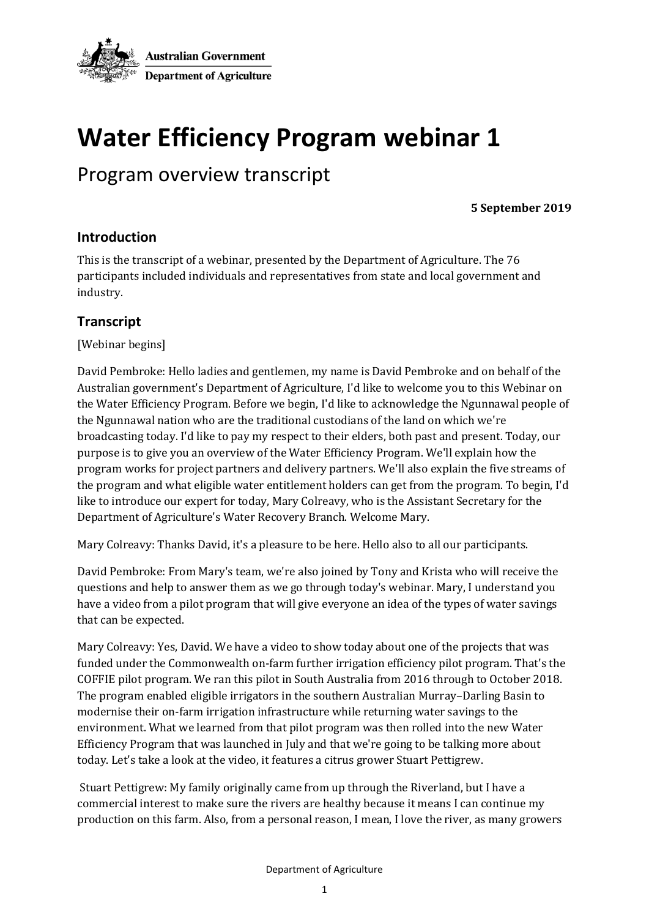

## **Water Efficiency Program webinar 1**

## Program overview transcript

**5 September 2019**

## **Introduction**

This is the transcript of a webinar, presented by the Department of Agriculture. The 76 participants included individuals and representatives from state and local government and industry.

## **Transcript**

[Webinar begins]

David Pembroke: Hello ladies and gentlemen, my name is David Pembroke and on behalf of the Australian government's Department of Agriculture, I'd like to welcome you to this Webinar on the Water Efficiency Program. Before we begin, I'd like to acknowledge the Ngunnawal people of the Ngunnawal nation who are the traditional custodians of the land on which we're broadcasting today. I'd like to pay my respect to their elders, both past and present. Today, our purpose is to give you an overview of the Water Efficiency Program. We'll explain how the program works for project partners and delivery partners. We'll also explain the five streams of the program and what eligible water entitlement holders can get from the program. To begin, I'd like to introduce our expert for today, Mary Colreavy, who is the Assistant Secretary for the Department of Agriculture's Water Recovery Branch. Welcome Mary.

Mary Colreavy: Thanks David, it's a pleasure to be here. Hello also to all our participants.

David Pembroke: From Mary's team, we're also joined by Tony and Krista who will receive the questions and help to answer them as we go through today's webinar. Mary, I understand you have a video from a pilot program that will give everyone an idea of the types of water savings that can be expected.

Mary Colreavy: Yes, David. We have a video to show today about one of the projects that was funded under the Commonwealth on-farm further irrigation efficiency pilot program. That's the COFFIE pilot program. We ran this pilot in South Australia from 2016 through to October 2018. The program enabled eligible irrigators in the southern Australian Murray–Darling Basin to modernise their on-farm irrigation infrastructure while returning water savings to the environment. What we learned from that pilot program was then rolled into the new Water Efficiency Program that was launched in July and that we're going to be talking more about today. Let's take a look at the video, it features a citrus grower Stuart Pettigrew.

Stuart Pettigrew: My family originally came from up through the Riverland, but I have a commercial interest to make sure the rivers are healthy because it means I can continue my production on this farm. Also, from a personal reason, I mean, I love the river, as many growers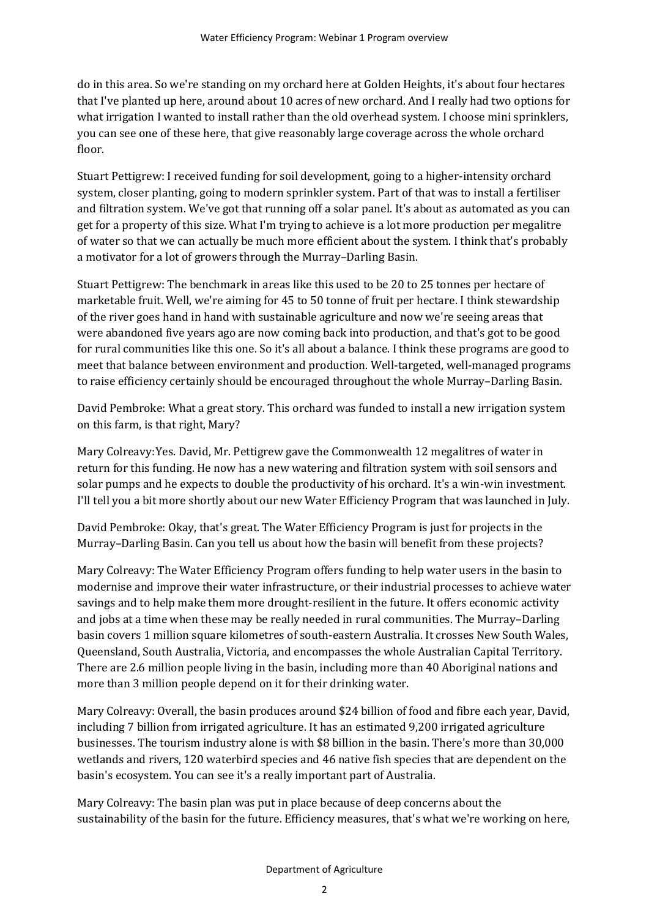do in this area. So we're standing on my orchard here at Golden Heights, it's about four hectares that I've planted up here, around about 10 acres of new orchard. And I really had two options for what irrigation I wanted to install rather than the old overhead system. I choose mini sprinklers, you can see one of these here, that give reasonably large coverage across the whole orchard floor.

Stuart Pettigrew: I received funding for soil development, going to a higher-intensity orchard system, closer planting, going to modern sprinkler system. Part of that was to install a fertiliser and filtration system. We've got that running off a solar panel. It's about as automated as you can get for a property of this size. What I'm trying to achieve is a lot more production per megalitre of water so that we can actually be much more efficient about the system. I think that's probably a motivator for a lot of growers through the Murray–Darling Basin.

Stuart Pettigrew: The benchmark in areas like this used to be 20 to 25 tonnes per hectare of marketable fruit. Well, we're aiming for 45 to 50 tonne of fruit per hectare. I think stewardship of the river goes hand in hand with sustainable agriculture and now we're seeing areas that were abandoned five years ago are now coming back into production, and that's got to be good for rural communities like this one. So it's all about a balance. I think these programs are good to meet that balance between environment and production. Well-targeted, well-managed programs to raise efficiency certainly should be encouraged throughout the whole Murray–Darling Basin.

David Pembroke: What a great story. This orchard was funded to install a new irrigation system on this farm, is that right, Mary?

Mary Colreavy:Yes. David, Mr. Pettigrew gave the Commonwealth 12 megalitres of water in return for this funding. He now has a new watering and filtration system with soil sensors and solar pumps and he expects to double the productivity of his orchard. It's a win-win investment. I'll tell you a bit more shortly about our new Water Efficiency Program that was launched in July.

David Pembroke: Okay, that's great. The Water Efficiency Program is just for projects in the Murray–Darling Basin. Can you tell us about how the basin will benefit from these projects?

Mary Colreavy: The Water Efficiency Program offers funding to help water users in the basin to modernise and improve their water infrastructure, or their industrial processes to achieve water savings and to help make them more drought-resilient in the future. It offers economic activity and jobs at a time when these may be really needed in rural communities. The Murray–Darling basin covers 1 million square kilometres of south-eastern Australia. It crosses New South Wales, Queensland, South Australia, Victoria, and encompasses the whole Australian Capital Territory. There are 2.6 million people living in the basin, including more than 40 Aboriginal nations and more than 3 million people depend on it for their drinking water.

Mary Colreavy: Overall, the basin produces around \$24 billion of food and fibre each year, David, including 7 billion from irrigated agriculture. It has an estimated 9,200 irrigated agriculture businesses. The tourism industry alone is with \$8 billion in the basin. There's more than 30,000 wetlands and rivers, 120 waterbird species and 46 native fish species that are dependent on the basin's ecosystem. You can see it's a really important part of Australia.

Mary Colreavy: The basin plan was put in place because of deep concerns about the sustainability of the basin for the future. Efficiency measures, that's what we're working on here,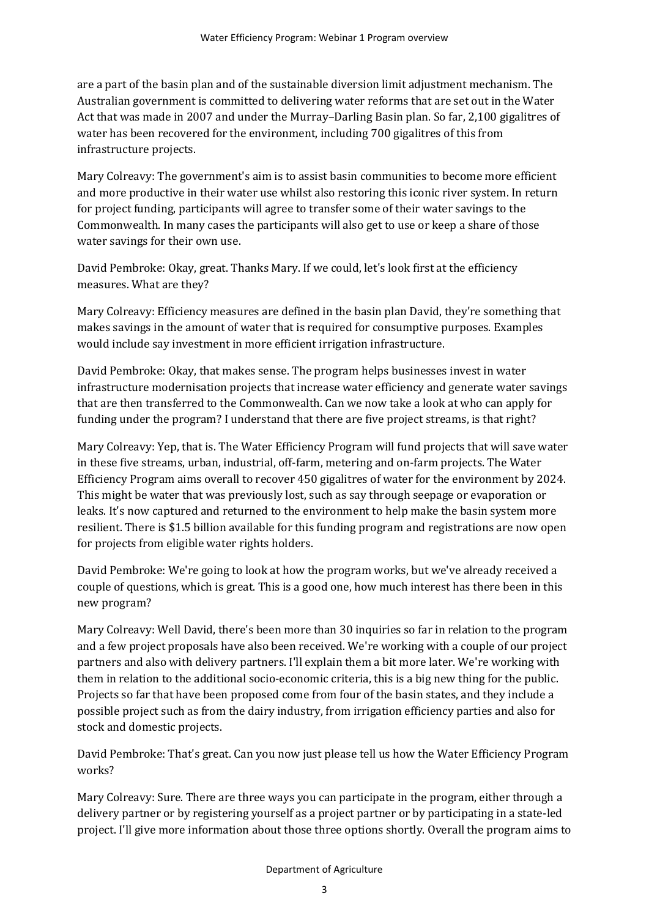are a part of the basin plan and of the sustainable diversion limit adjustment mechanism. The Australian government is committed to delivering water reforms that are set out in the Water Act that was made in 2007 and under the Murray–Darling Basin plan. So far, 2,100 gigalitres of water has been recovered for the environment, including 700 gigalitres of this from infrastructure projects.

Mary Colreavy: The government's aim is to assist basin communities to become more efficient and more productive in their water use whilst also restoring this iconic river system. In return for project funding, participants will agree to transfer some of their water savings to the Commonwealth. In many cases the participants will also get to use or keep a share of those water savings for their own use.

David Pembroke: Okay, great. Thanks Mary. If we could, let's look first at the efficiency measures. What are they?

Mary Colreavy: Efficiency measures are defined in the basin plan David, they're something that makes savings in the amount of water that is required for consumptive purposes. Examples would include say investment in more efficient irrigation infrastructure.

David Pembroke: Okay, that makes sense. The program helps businesses invest in water infrastructure modernisation projects that increase water efficiency and generate water savings that are then transferred to the Commonwealth. Can we now take a look at who can apply for funding under the program? I understand that there are five project streams, is that right?

Mary Colreavy: Yep, that is. The Water Efficiency Program will fund projects that will save water in these five streams, urban, industrial, off-farm, metering and on-farm projects. The Water Efficiency Program aims overall to recover 450 gigalitres of water for the environment by 2024. This might be water that was previously lost, such as say through seepage or evaporation or leaks. It's now captured and returned to the environment to help make the basin system more resilient. There is \$1.5 billion available for this funding program and registrations are now open for projects from eligible water rights holders.

David Pembroke: We're going to look at how the program works, but we've already received a couple of questions, which is great. This is a good one, how much interest has there been in this new program?

Mary Colreavy: Well David, there's been more than 30 inquiries so far in relation to the program and a few project proposals have also been received. We're working with a couple of our project partners and also with delivery partners. I'll explain them a bit more later. We're working with them in relation to the additional socio-economic criteria, this is a big new thing for the public. Projects so far that have been proposed come from four of the basin states, and they include a possible project such as from the dairy industry, from irrigation efficiency parties and also for stock and domestic projects.

David Pembroke: That's great. Can you now just please tell us how the Water Efficiency Program works?

Mary Colreavy: Sure. There are three ways you can participate in the program, either through a delivery partner or by registering yourself as a project partner or by participating in a state-led project. I'll give more information about those three options shortly. Overall the program aims to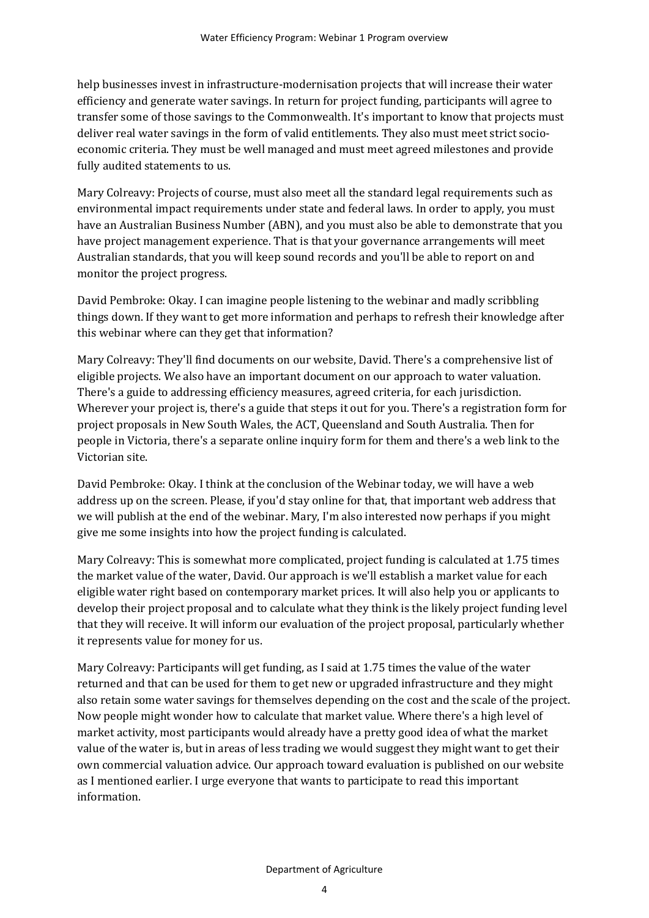help businesses invest in infrastructure-modernisation projects that will increase their water efficiency and generate water savings. In return for project funding, participants will agree to transfer some of those savings to the Commonwealth. It's important to know that projects must deliver real water savings in the form of valid entitlements. They also must meet strict socioeconomic criteria. They must be well managed and must meet agreed milestones and provide fully audited statements to us.

Mary Colreavy: Projects of course, must also meet all the standard legal requirements such as environmental impact requirements under state and federal laws. In order to apply, you must have an Australian Business Number (ABN), and you must also be able to demonstrate that you have project management experience. That is that your governance arrangements will meet Australian standards, that you will keep sound records and you'll be able to report on and monitor the project progress.

David Pembroke: Okay. I can imagine people listening to the webinar and madly scribbling things down. If they want to get more information and perhaps to refresh their knowledge after this webinar where can they get that information?

Mary Colreavy: They'll find documents on our website, David. There's a comprehensive list of eligible projects. We also have an important document on our approach to water valuation. There's a guide to addressing efficiency measures, agreed criteria, for each jurisdiction. Wherever your project is, there's a guide that steps it out for you. There's a registration form for project proposals in New South Wales, the ACT, Queensland and South Australia. Then for people in Victoria, there's a separate online inquiry form for them and there's a web link to the Victorian site.

David Pembroke: Okay. I think at the conclusion of the Webinar today, we will have a web address up on the screen. Please, if you'd stay online for that, that important web address that we will publish at the end of the webinar. Mary, I'm also interested now perhaps if you might give me some insights into how the project funding is calculated.

Mary Colreavy: This is somewhat more complicated, project funding is calculated at 1.75 times the market value of the water, David. Our approach is we'll establish a market value for each eligible water right based on contemporary market prices. It will also help you or applicants to develop their project proposal and to calculate what they think is the likely project funding level that they will receive. It will inform our evaluation of the project proposal, particularly whether it represents value for money for us.

Mary Colreavy: Participants will get funding, as I said at 1.75 times the value of the water returned and that can be used for them to get new or upgraded infrastructure and they might also retain some water savings for themselves depending on the cost and the scale of the project. Now people might wonder how to calculate that market value. Where there's a high level of market activity, most participants would already have a pretty good idea of what the market value of the water is, but in areas of less trading we would suggest they might want to get their own commercial valuation advice. Our approach toward evaluation is published on our website as I mentioned earlier. I urge everyone that wants to participate to read this important information.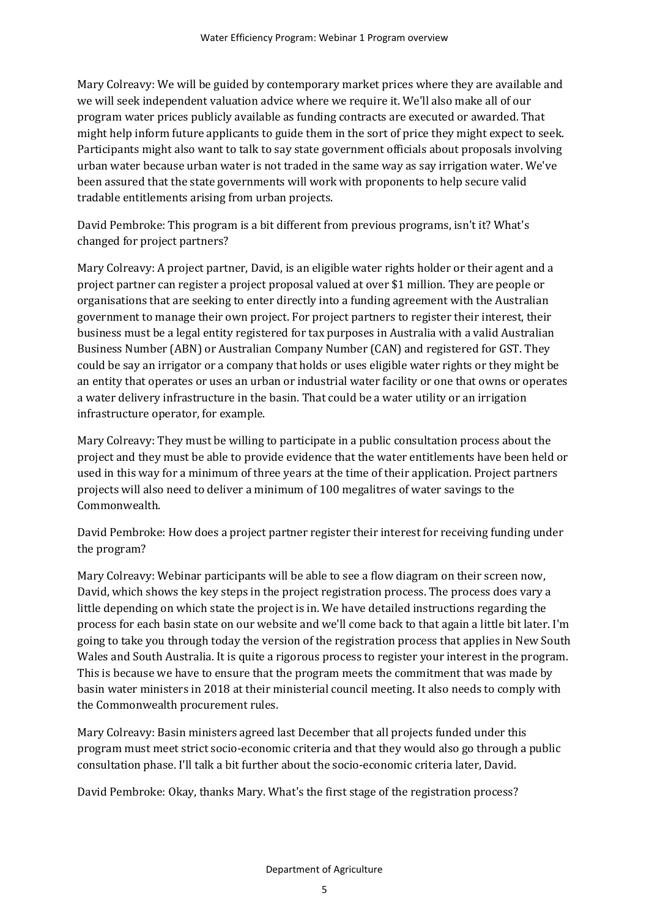Mary Colreavy: We will be guided by contemporary market prices where they are available and we will seek independent valuation advice where we require it. We'll also make all of our program water prices publicly available as funding contracts are executed or awarded. That might help inform future applicants to guide them in the sort of price they might expect to seek. Participants might also want to talk to say state government officials about proposals involving urban water because urban water is not traded in the same way as say irrigation water. We've been assured that the state governments will work with proponents to help secure valid tradable entitlements arising from urban projects.

David Pembroke: This program is a bit different from previous programs, isn't it? What's changed for project partners?

Mary Colreavy: A project partner, David, is an eligible water rights holder or their agent and a project partner can register a project proposal valued at over \$1 million. They are people or organisations that are seeking to enter directly into a funding agreement with the Australian government to manage their own project. For project partners to register their interest, their business must be a legal entity registered for tax purposes in Australia with a valid Australian Business Number (ABN) or Australian Company Number (CAN) and registered for GST. They could be say an irrigator or a company that holds or uses eligible water rights or they might be an entity that operates or uses an urban or industrial water facility or one that owns or operates a water delivery infrastructure in the basin. That could be a water utility or an irrigation infrastructure operator, for example.

Mary Colreavy: They must be willing to participate in a public consultation process about the project and they must be able to provide evidence that the water entitlements have been held or used in this way for a minimum of three years at the time of their application. Project partners projects will also need to deliver a minimum of 100 megalitres of water savings to the Commonwealth.

David Pembroke: How does a project partner register their interest for receiving funding under the program?

Mary Colreavy: Webinar participants will be able to see a flow diagram on their screen now, David, which shows the key steps in the project registration process. The process does vary a little depending on which state the project is in. We have detailed instructions regarding the process for each basin state on our website and we'll come back to that again a little bit later. I'm going to take you through today the version of the registration process that applies in New South Wales and South Australia. It is quite a rigorous process to register your interest in the program. This is because we have to ensure that the program meets the commitment that was made by basin water ministers in 2018 at their ministerial council meeting. It also needs to comply with the Commonwealth procurement rules.

Mary Colreavy: Basin ministers agreed last December that all projects funded under this program must meet strict socio-economic criteria and that they would also go through a public consultation phase. I'll talk a bit further about the socio-economic criteria later, David.

David Pembroke: Okay, thanks Mary. What's the first stage of the registration process?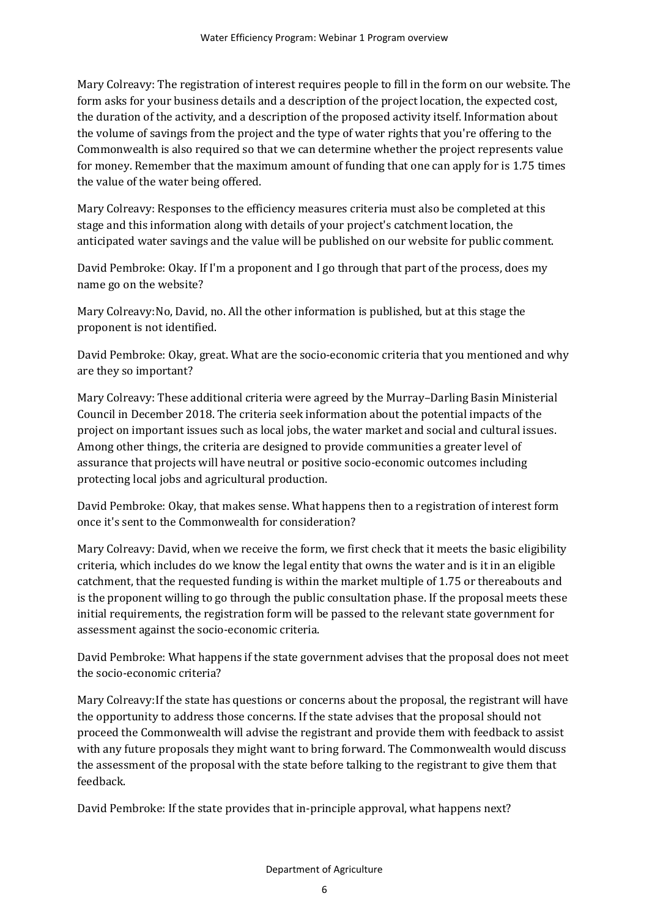Mary Colreavy: The registration of interest requires people to fill in the form on our website. The form asks for your business details and a description of the project location, the expected cost, the duration of the activity, and a description of the proposed activity itself. Information about the volume of savings from the project and the type of water rights that you're offering to the Commonwealth is also required so that we can determine whether the project represents value for money. Remember that the maximum amount of funding that one can apply for is 1.75 times the value of the water being offered.

Mary Colreavy: Responses to the efficiency measures criteria must also be completed at this stage and this information along with details of your project's catchment location, the anticipated water savings and the value will be published on our website for public comment.

David Pembroke: Okay. If I'm a proponent and I go through that part of the process, does my name go on the website?

Mary Colreavy:No, David, no. All the other information is published, but at this stage the proponent is not identified.

David Pembroke: Okay, great. What are the socio-economic criteria that you mentioned and why are they so important?

Mary Colreavy: These additional criteria were agreed by the Murray–Darling Basin Ministerial Council in December 2018. The criteria seek information about the potential impacts of the project on important issues such as local jobs, the water market and social and cultural issues. Among other things, the criteria are designed to provide communities a greater level of assurance that projects will have neutral or positive socio-economic outcomes including protecting local jobs and agricultural production.

David Pembroke: Okay, that makes sense. What happens then to a registration of interest form once it's sent to the Commonwealth for consideration?

Mary Colreavy: David, when we receive the form, we first check that it meets the basic eligibility criteria, which includes do we know the legal entity that owns the water and is it in an eligible catchment, that the requested funding is within the market multiple of 1.75 or thereabouts and is the proponent willing to go through the public consultation phase. If the proposal meets these initial requirements, the registration form will be passed to the relevant state government for assessment against the socio-economic criteria.

David Pembroke: What happens if the state government advises that the proposal does not meet the socio-economic criteria?

Mary Colreavy:If the state has questions or concerns about the proposal, the registrant will have the opportunity to address those concerns. If the state advises that the proposal should not proceed the Commonwealth will advise the registrant and provide them with feedback to assist with any future proposals they might want to bring forward. The Commonwealth would discuss the assessment of the proposal with the state before talking to the registrant to give them that feedback.

David Pembroke: If the state provides that in-principle approval, what happens next?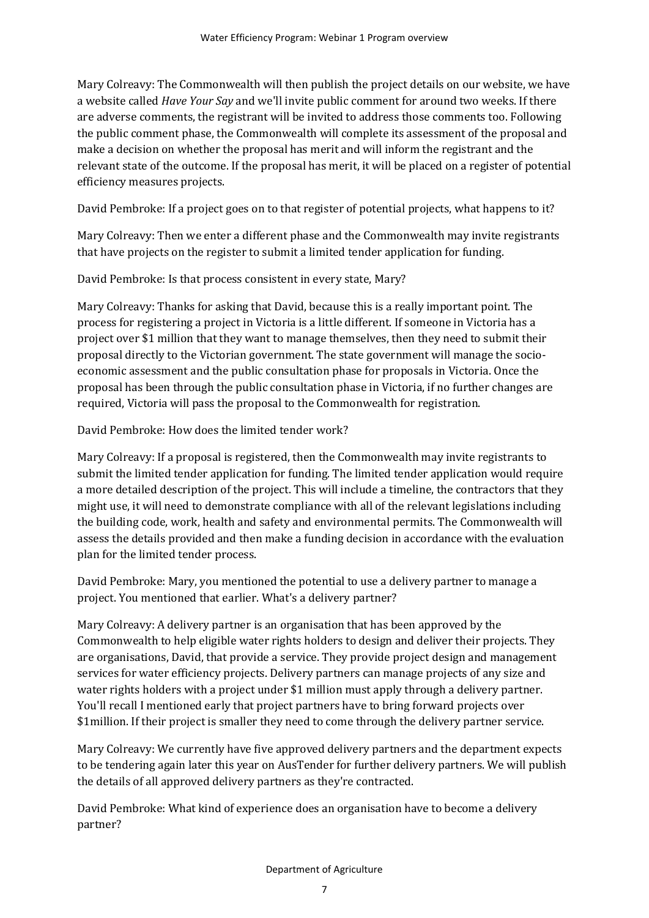Mary Colreavy: The Commonwealth will then publish the project details on our website, we have a website called *Have Your Say* and we'll invite public comment for around two weeks. If there are adverse comments, the registrant will be invited to address those comments too. Following the public comment phase, the Commonwealth will complete its assessment of the proposal and make a decision on whether the proposal has merit and will inform the registrant and the relevant state of the outcome. If the proposal has merit, it will be placed on a register of potential efficiency measures projects.

David Pembroke: If a project goes on to that register of potential projects, what happens to it?

Mary Colreavy: Then we enter a different phase and the Commonwealth may invite registrants that have projects on the register to submit a limited tender application for funding.

David Pembroke: Is that process consistent in every state, Mary?

Mary Colreavy: Thanks for asking that David, because this is a really important point. The process for registering a project in Victoria is a little different. If someone in Victoria has a project over \$1 million that they want to manage themselves, then they need to submit their proposal directly to the Victorian government. The state government will manage the socioeconomic assessment and the public consultation phase for proposals in Victoria. Once the proposal has been through the public consultation phase in Victoria, if no further changes are required, Victoria will pass the proposal to the Commonwealth for registration.

David Pembroke: How does the limited tender work?

Mary Colreavy: If a proposal is registered, then the Commonwealth may invite registrants to submit the limited tender application for funding. The limited tender application would require a more detailed description of the project. This will include a timeline, the contractors that they might use, it will need to demonstrate compliance with all of the relevant legislations including the building code, work, health and safety and environmental permits. The Commonwealth will assess the details provided and then make a funding decision in accordance with the evaluation plan for the limited tender process.

David Pembroke: Mary, you mentioned the potential to use a delivery partner to manage a project. You mentioned that earlier. What's a delivery partner?

Mary Colreavy: A delivery partner is an organisation that has been approved by the Commonwealth to help eligible water rights holders to design and deliver their projects. They are organisations, David, that provide a service. They provide project design and management services for water efficiency projects. Delivery partners can manage projects of any size and water rights holders with a project under \$1 million must apply through a delivery partner. You'll recall I mentioned early that project partners have to bring forward projects over \$1million. If their project is smaller they need to come through the delivery partner service.

Mary Colreavy: We currently have five approved delivery partners and the department expects to be tendering again later this year on AusTender for further delivery partners. We will publish the details of all approved delivery partners as they're contracted.

David Pembroke: What kind of experience does an organisation have to become a delivery partner?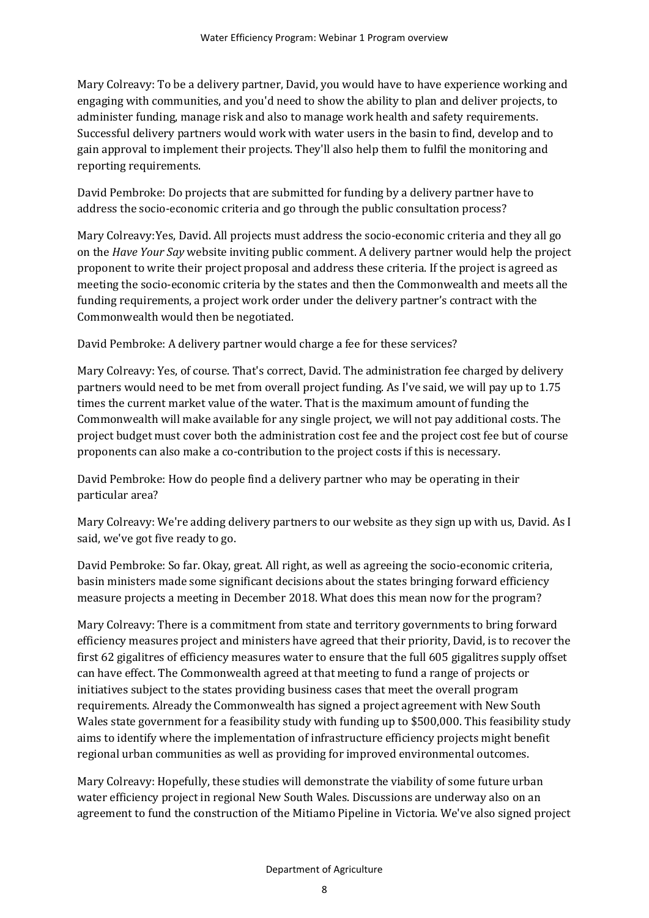Mary Colreavy: To be a delivery partner, David, you would have to have experience working and engaging with communities, and you'd need to show the ability to plan and deliver projects, to administer funding, manage risk and also to manage work health and safety requirements. Successful delivery partners would work with water users in the basin to find, develop and to gain approval to implement their projects. They'll also help them to fulfil the monitoring and reporting requirements.

David Pembroke: Do projects that are submitted for funding by a delivery partner have to address the socio-economic criteria and go through the public consultation process?

Mary Colreavy:Yes, David. All projects must address the socio-economic criteria and they all go on the *Have Your Say* website inviting public comment. A delivery partner would help the project proponent to write their project proposal and address these criteria. If the project is agreed as meeting the socio-economic criteria by the states and then the Commonwealth and meets all the funding requirements, a project work order under the delivery partner's contract with the Commonwealth would then be negotiated.

David Pembroke: A delivery partner would charge a fee for these services?

Mary Colreavy: Yes, of course. That's correct, David. The administration fee charged by delivery partners would need to be met from overall project funding. As I've said, we will pay up to 1.75 times the current market value of the water. That is the maximum amount of funding the Commonwealth will make available for any single project, we will not pay additional costs. The project budget must cover both the administration cost fee and the project cost fee but of course proponents can also make a co-contribution to the project costs if this is necessary.

David Pembroke: How do people find a delivery partner who may be operating in their particular area?

Mary Colreavy: We're adding delivery partners to our website as they sign up with us, David. As I said, we've got five ready to go.

David Pembroke: So far. Okay, great. All right, as well as agreeing the socio-economic criteria, basin ministers made some significant decisions about the states bringing forward efficiency measure projects a meeting in December 2018. What does this mean now for the program?

Mary Colreavy: There is a commitment from state and territory governments to bring forward efficiency measures project and ministers have agreed that their priority, David, is to recover the first 62 gigalitres of efficiency measures water to ensure that the full 605 gigalitres supply offset can have effect. The Commonwealth agreed at that meeting to fund a range of projects or initiatives subject to the states providing business cases that meet the overall program requirements. Already the Commonwealth has signed a project agreement with New South Wales state government for a feasibility study with funding up to \$500,000. This feasibility study aims to identify where the implementation of infrastructure efficiency projects might benefit regional urban communities as well as providing for improved environmental outcomes.

Mary Colreavy: Hopefully, these studies will demonstrate the viability of some future urban water efficiency project in regional New South Wales. Discussions are underway also on an agreement to fund the construction of the Mitiamo Pipeline in Victoria. We've also signed project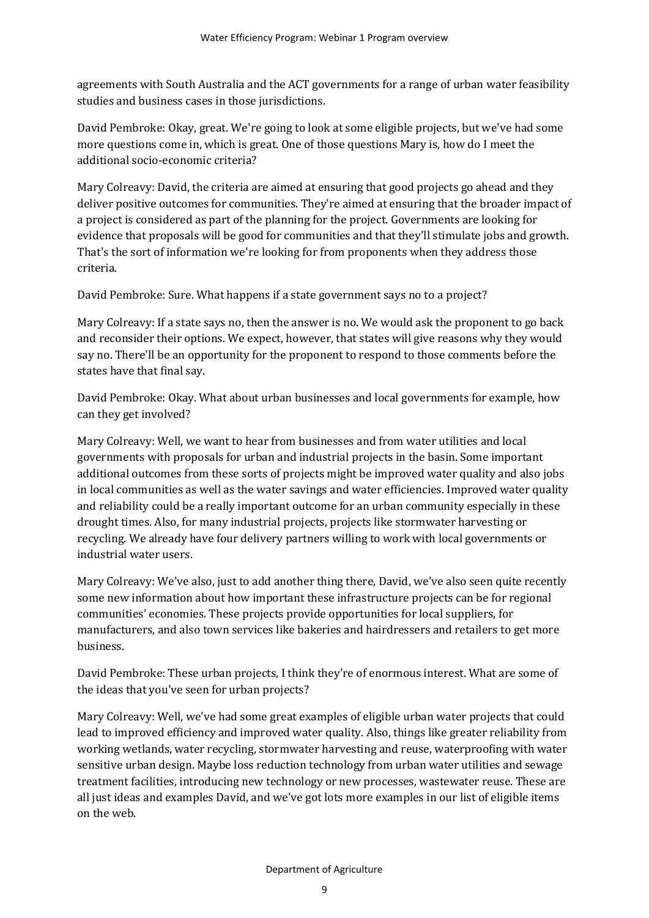agreements with South Australia and the ACT governments for a range of urban water feasibility studies and business cases in those jurisdictions.

David Pembroke: Okay, great. We're going to look at some eligible projects, but we've had some more questions come in, which is great. One of those questions Mary is, how do I meet the additional socio-economic criteria?

Mary Colreavy: David, the criteria are aimed at ensuring that good projects go ahead and they deliver positive outcomes for communities. They're aimed at ensuring that the broader impact of a project is considered as part of the planning for the project. Governments are looking for evidence that proposals will be good for communities and that they'll stimulate jobs and growth. That's the sort of information we're looking for from proponents when they address those criteria.

David Pembroke: Sure. What happens if a state government says no to a project?

Mary Colreavy: If a state says no, then the answer is no. We would ask the proponent to go back and reconsider their options. We expect, however, that states will give reasons why they would say no. There'll be an opportunity for the proponent to respond to those comments before the states have that final say.

David Pembroke: Okay. What about urban businesses and local governments for example, how can they get involved?

Mary Colreavy: Well, we want to hear from businesses and from water utilities and local governments with proposals for urban and industrial projects in the basin. Some important additional outcomes from these sorts of projects might be improved water quality and also jobs in local communities as well as the water savings and water efficiencies. Improved water quality and reliability could be a really important outcome for an urban community especially in these drought times. Also, for many industrial projects, projects like stormwater harvesting or recycling. We already have four delivery partners willing to work with local governments or industrial water users.

Mary Colreavy: We've also, just to add another thing there, David, we've also seen quite recently some new information about how important these infrastructure projects can be for regional communities' economies. These projects provide opportunities for local suppliers, for manufacturers, and also town services like bakeries and hairdressers and retailers to get more business.

David Pembroke: These urban projects, I think they're of enormous interest. What are some of the ideas that you've seen for urban projects?

Mary Colreavy: Well, we've had some great examples of eligible urban water projects that could lead to improved efficiency and improved water quality. Also, things like greater reliability from working wetlands, water recycling, stormwater harvesting and reuse, waterproofing with water sensitive urban design. Maybe loss reduction technology from urban water utilities and sewage treatment facilities, introducing new technology or new processes, wastewater reuse. These are all just ideas and examples David, and we've got lots more examples in our list of eligible items on the web.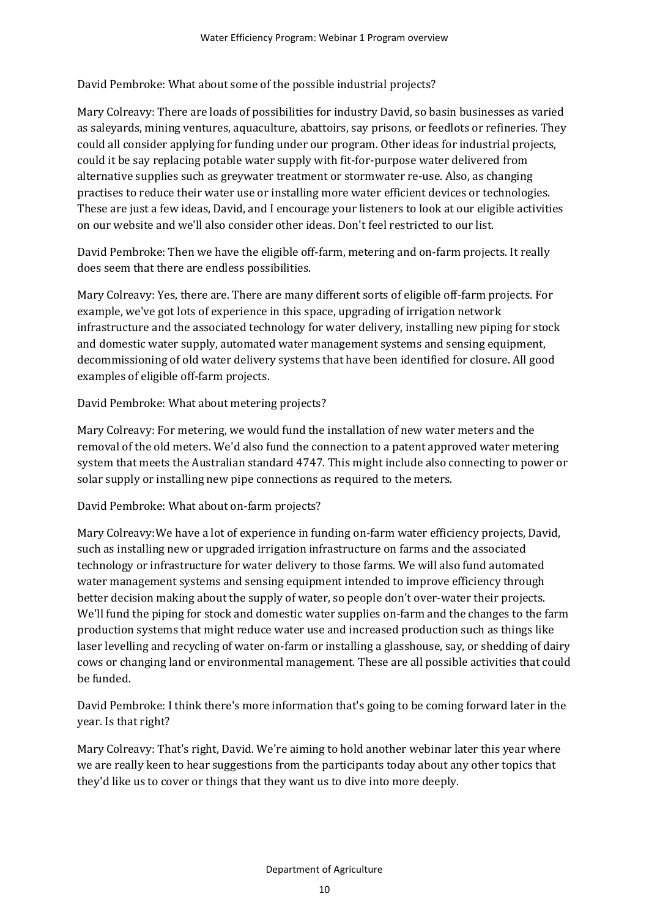David Pembroke: What about some of the possible industrial projects?

Mary Colreavy: There are loads of possibilities for industry David, so basin businesses as varied as saleyards, mining ventures, aquaculture, abattoirs, say prisons, or feedlots or refineries. They could all consider applying for funding under our program. Other ideas for industrial projects, could it be say replacing potable water supply with fit-for-purpose water delivered from alternative supplies such as greywater treatment or stormwater re-use. Also, as changing practises to reduce their water use or installing more water efficient devices or technologies. These are just a few ideas, David, and I encourage your listeners to look at our eligible activities on our website and we'll also consider other ideas. Don't feel restricted to our list.

David Pembroke: Then we have the eligible off-farm, metering and on-farm projects. It really does seem that there are endless possibilities.

Mary Colreavy: Yes, there are. There are many different sorts of eligible off-farm projects. For example, we've got lots of experience in this space, upgrading of irrigation network infrastructure and the associated technology for water delivery, installing new piping for stock and domestic water supply, automated water management systems and sensing equipment, decommissioning of old water delivery systems that have been identified for closure. All good examples of eligible off-farm projects.

David Pembroke: What about metering projects?

Mary Colreavy: For metering, we would fund the installation of new water meters and the removal of the old meters. We'd also fund the connection to a patent approved water metering system that meets the Australian standard 4747. This might include also connecting to power or solar supply or installing new pipe connections as required to the meters.

David Pembroke: What about on-farm projects?

Mary Colreavy:We have a lot of experience in funding on-farm water efficiency projects, David, such as installing new or upgraded irrigation infrastructure on farms and the associated technology or infrastructure for water delivery to those farms. We will also fund automated water management systems and sensing equipment intended to improve efficiency through better decision making about the supply of water, so people don't over-water their projects. We'll fund the piping for stock and domestic water supplies on-farm and the changes to the farm production systems that might reduce water use and increased production such as things like laser levelling and recycling of water on-farm or installing a glasshouse, say, or shedding of dairy cows or changing land or environmental management. These are all possible activities that could be funded.

David Pembroke: I think there's more information that's going to be coming forward later in the year. Is that right?

Mary Colreavy: That's right, David. We're aiming to hold another webinar later this year where we are really keen to hear suggestions from the participants today about any other topics that they'd like us to cover or things that they want us to dive into more deeply.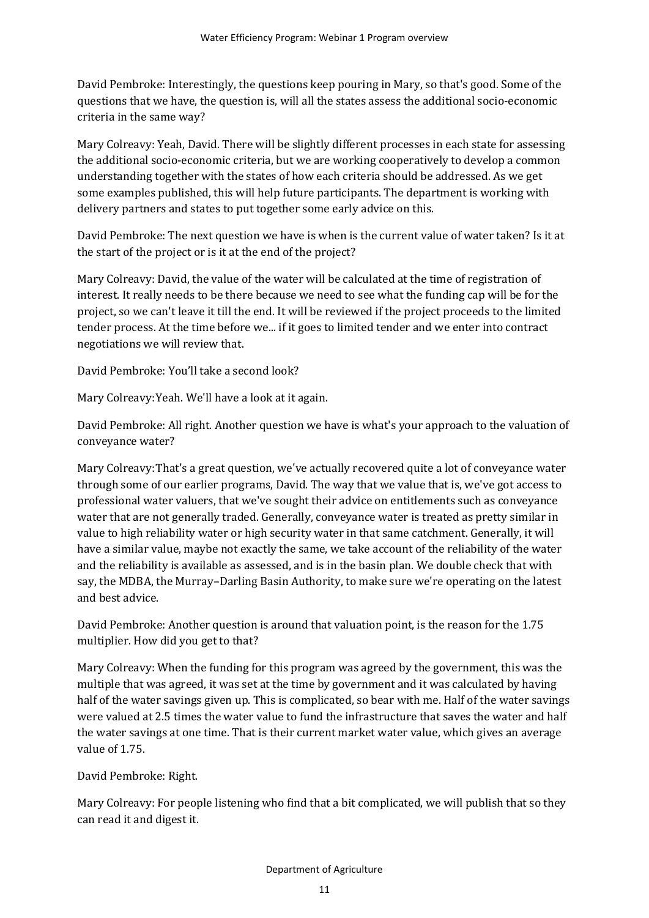David Pembroke: Interestingly, the questions keep pouring in Mary, so that's good. Some of the questions that we have, the question is, will all the states assess the additional socio-economic criteria in the same way?

Mary Colreavy: Yeah, David. There will be slightly different processes in each state for assessing the additional socio-economic criteria, but we are working cooperatively to develop a common understanding together with the states of how each criteria should be addressed. As we get some examples published, this will help future participants. The department is working with delivery partners and states to put together some early advice on this.

David Pembroke: The next question we have is when is the current value of water taken? Is it at the start of the project or is it at the end of the project?

Mary Colreavy: David, the value of the water will be calculated at the time of registration of interest. It really needs to be there because we need to see what the funding cap will be for the project, so we can't leave it till the end. It will be reviewed if the project proceeds to the limited tender process. At the time before we... if it goes to limited tender and we enter into contract negotiations we will review that.

David Pembroke: You'll take a second look?

Mary Colreavy:Yeah. We'll have a look at it again.

David Pembroke: All right. Another question we have is what's your approach to the valuation of conveyance water?

Mary Colreavy:That's a great question, we've actually recovered quite a lot of conveyance water through some of our earlier programs, David. The way that we value that is, we've got access to professional water valuers, that we've sought their advice on entitlements such as conveyance water that are not generally traded. Generally, conveyance water is treated as pretty similar in value to high reliability water or high security water in that same catchment. Generally, it will have a similar value, maybe not exactly the same, we take account of the reliability of the water and the reliability is available as assessed, and is in the basin plan. We double check that with say, the MDBA, the Murray–Darling Basin Authority, to make sure we're operating on the latest and best advice.

David Pembroke: Another question is around that valuation point, is the reason for the 1.75 multiplier. How did you get to that?

Mary Colreavy: When the funding for this program was agreed by the government, this was the multiple that was agreed, it was set at the time by government and it was calculated by having half of the water savings given up. This is complicated, so bear with me. Half of the water savings were valued at 2.5 times the water value to fund the infrastructure that saves the water and half the water savings at one time. That is their current market water value, which gives an average value of 1.75.

David Pembroke: Right.

Mary Colreavy: For people listening who find that a bit complicated, we will publish that so they can read it and digest it.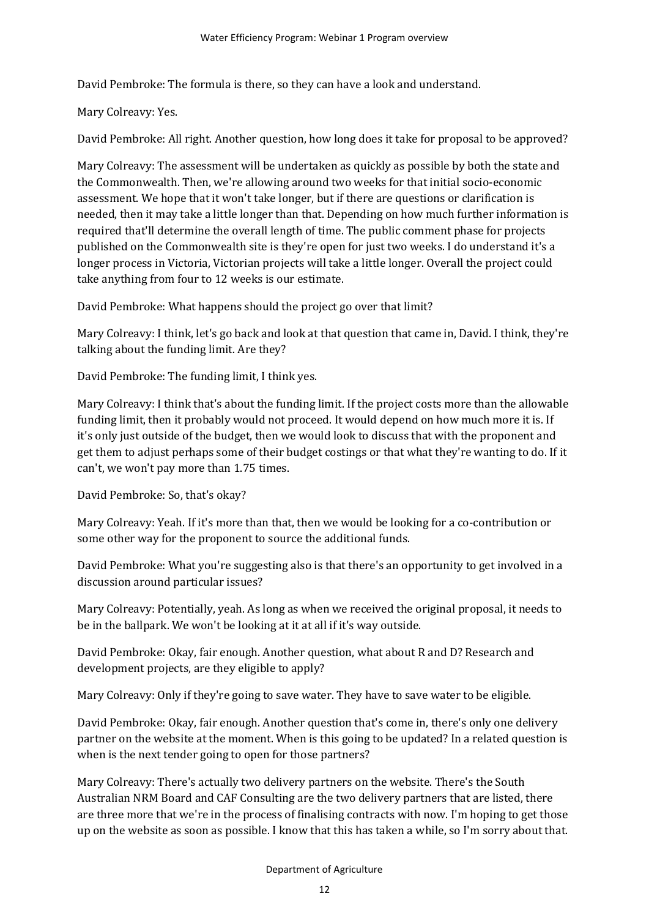David Pembroke: The formula is there, so they can have a look and understand.

Mary Colreavy: Yes.

David Pembroke: All right. Another question, how long does it take for proposal to be approved?

Mary Colreavy: The assessment will be undertaken as quickly as possible by both the state and the Commonwealth. Then, we're allowing around two weeks for that initial socio-economic assessment. We hope that it won't take longer, but if there are questions or clarification is needed, then it may take a little longer than that. Depending on how much further information is required that'll determine the overall length of time. The public comment phase for projects published on the Commonwealth site is they're open for just two weeks. I do understand it's a longer process in Victoria, Victorian projects will take a little longer. Overall the project could take anything from four to 12 weeks is our estimate.

David Pembroke: What happens should the project go over that limit?

Mary Colreavy: I think, let's go back and look at that question that came in, David. I think, they're talking about the funding limit. Are they?

David Pembroke: The funding limit, I think yes.

Mary Colreavy: I think that's about the funding limit. If the project costs more than the allowable funding limit, then it probably would not proceed. It would depend on how much more it is. If it's only just outside of the budget, then we would look to discuss that with the proponent and get them to adjust perhaps some of their budget costings or that what they're wanting to do. If it can't, we won't pay more than 1.75 times.

David Pembroke: So, that's okay?

Mary Colreavy: Yeah. If it's more than that, then we would be looking for a co-contribution or some other way for the proponent to source the additional funds.

David Pembroke: What you're suggesting also is that there's an opportunity to get involved in a discussion around particular issues?

Mary Colreavy: Potentially, yeah. As long as when we received the original proposal, it needs to be in the ballpark. We won't be looking at it at all if it's way outside.

David Pembroke: Okay, fair enough. Another question, what about R and D? Research and development projects, are they eligible to apply?

Mary Colreavy: Only if they're going to save water. They have to save water to be eligible.

David Pembroke: Okay, fair enough. Another question that's come in, there's only one delivery partner on the website at the moment. When is this going to be updated? In a related question is when is the next tender going to open for those partners?

Mary Colreavy: There's actually two delivery partners on the website. There's the South Australian NRM Board and CAF Consulting are the two delivery partners that are listed, there are three more that we're in the process of finalising contracts with now. I'm hoping to get those up on the website as soon as possible. I know that this has taken a while, so I'm sorry about that.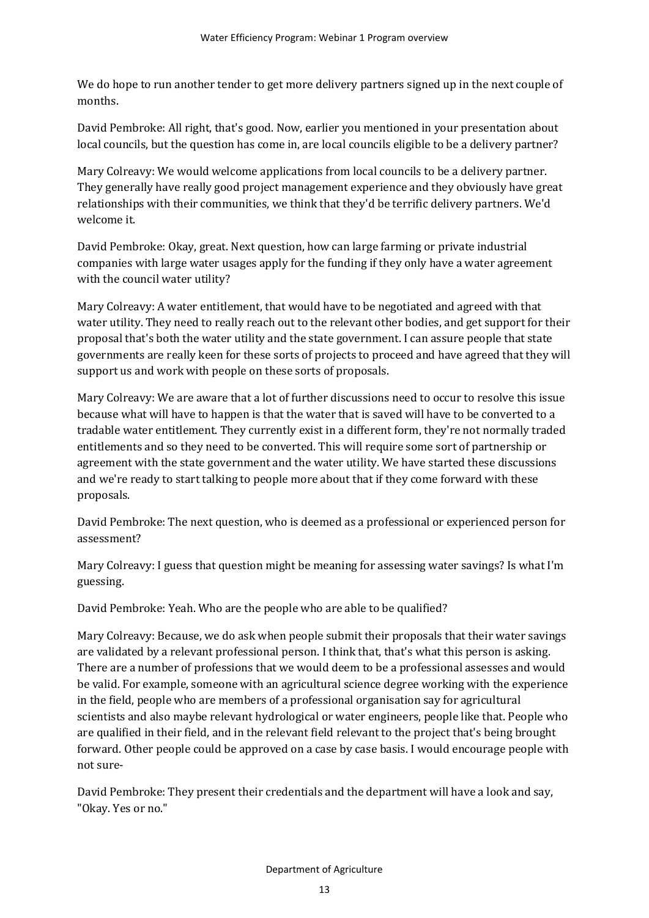We do hope to run another tender to get more delivery partners signed up in the next couple of months.

David Pembroke: All right, that's good. Now, earlier you mentioned in your presentation about local councils, but the question has come in, are local councils eligible to be a delivery partner?

Mary Colreavy: We would welcome applications from local councils to be a delivery partner. They generally have really good project management experience and they obviously have great relationships with their communities, we think that they'd be terrific delivery partners. We'd welcome it.

David Pembroke: Okay, great. Next question, how can large farming or private industrial companies with large water usages apply for the funding if they only have a water agreement with the council water utility?

Mary Colreavy: A water entitlement, that would have to be negotiated and agreed with that water utility. They need to really reach out to the relevant other bodies, and get support for their proposal that's both the water utility and the state government. I can assure people that state governments are really keen for these sorts of projects to proceed and have agreed that they will support us and work with people on these sorts of proposals.

Mary Colreavy: We are aware that a lot of further discussions need to occur to resolve this issue because what will have to happen is that the water that is saved will have to be converted to a tradable water entitlement. They currently exist in a different form, they're not normally traded entitlements and so they need to be converted. This will require some sort of partnership or agreement with the state government and the water utility. We have started these discussions and we're ready to start talking to people more about that if they come forward with these proposals.

David Pembroke: The next question, who is deemed as a professional or experienced person for assessment?

Mary Colreavy: I guess that question might be meaning for assessing water savings? Is what I'm guessing.

David Pembroke: Yeah. Who are the people who are able to be qualified?

Mary Colreavy: Because, we do ask when people submit their proposals that their water savings are validated by a relevant professional person. I think that, that's what this person is asking. There are a number of professions that we would deem to be a professional assesses and would be valid. For example, someone with an agricultural science degree working with the experience in the field, people who are members of a professional organisation say for agricultural scientists and also maybe relevant hydrological or water engineers, people like that. People who are qualified in their field, and in the relevant field relevant to the project that's being brought forward. Other people could be approved on a case by case basis. I would encourage people with not sure-

David Pembroke: They present their credentials and the department will have a look and say, "Okay. Yes or no."